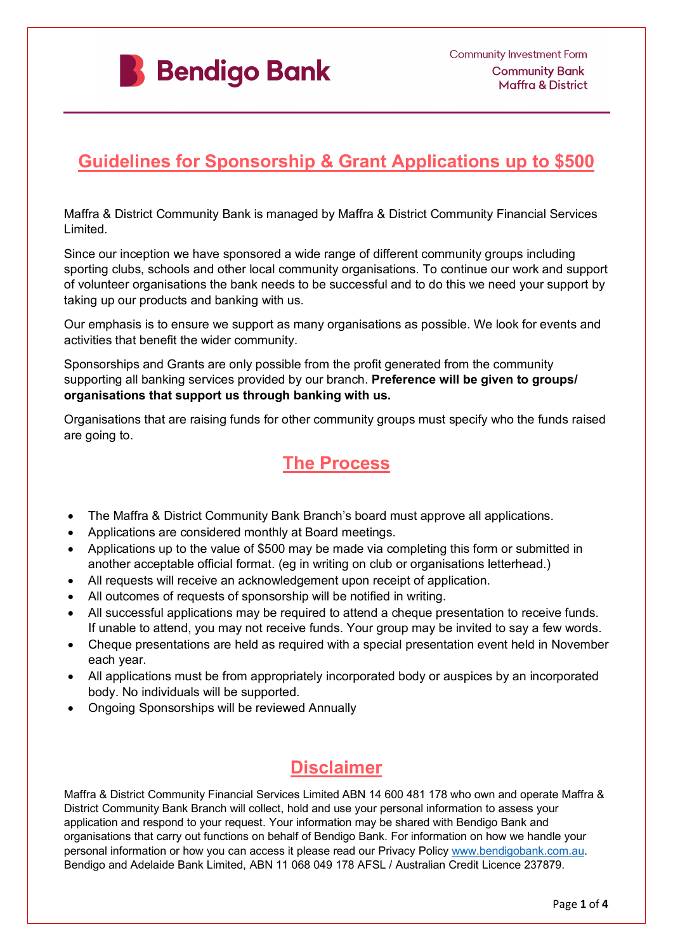

## **Guidelines for Sponsorship & Grant Applications up to \$500**

Maffra & District Community Bank is managed by Maffra & District Community Financial Services Limited.

Since our inception we have sponsored a wide range of different community groups including sporting clubs, schools and other local community organisations. To continue our work and support of volunteer organisations the bank needs to be successful and to do this we need your support by taking up our products and banking with us.

Our emphasis is to ensure we support as many organisations as possible. We look for events and activities that benefit the wider community.

Sponsorships and Grants are only possible from the profit generated from the community supporting all banking services provided by our branch. **Preference will be given to groups/ organisations that support us through banking with us.** 

Organisations that are raising funds for other community groups must specify who the funds raised are going to.

## **The Process**

- The Maffra & District Community Bank Branch's board must approve all applications.
- Applications are considered monthly at Board meetings.
- Applications up to the value of \$500 may be made via completing this form or submitted in another acceptable official format. (eg in writing on club or organisations letterhead.)
- All requests will receive an acknowledgement upon receipt of application.
- All outcomes of requests of sponsorship will be notified in writing.
- All successful applications may be required to attend a cheque presentation to receive funds. If unable to attend, you may not receive funds. Your group may be invited to say a few words.
- Cheque presentations are held as required with a special presentation event held in November each year.
- All applications must be from appropriately incorporated body or auspices by an incorporated body. No individuals will be supported.
- Ongoing Sponsorships will be reviewed Annually

# **Disclaimer**

Maffra & District Community Financial Services Limited ABN 14 600 481 178 who own and operate Maffra & District Community Bank Branch will collect, hold and use your personal information to assess your application and respond to your request. Your information may be shared with Bendigo Bank and organisations that carry out functions on behalf of Bendigo Bank. For information on how we handle your personal information or how you can access it please read our Privacy Policy [www.bendigobank.com.au.](http://www.bendigobank.com.au/) Bendigo and Adelaide Bank Limited, ABN 11 068 049 178 AFSL / Australian Credit Licence 237879.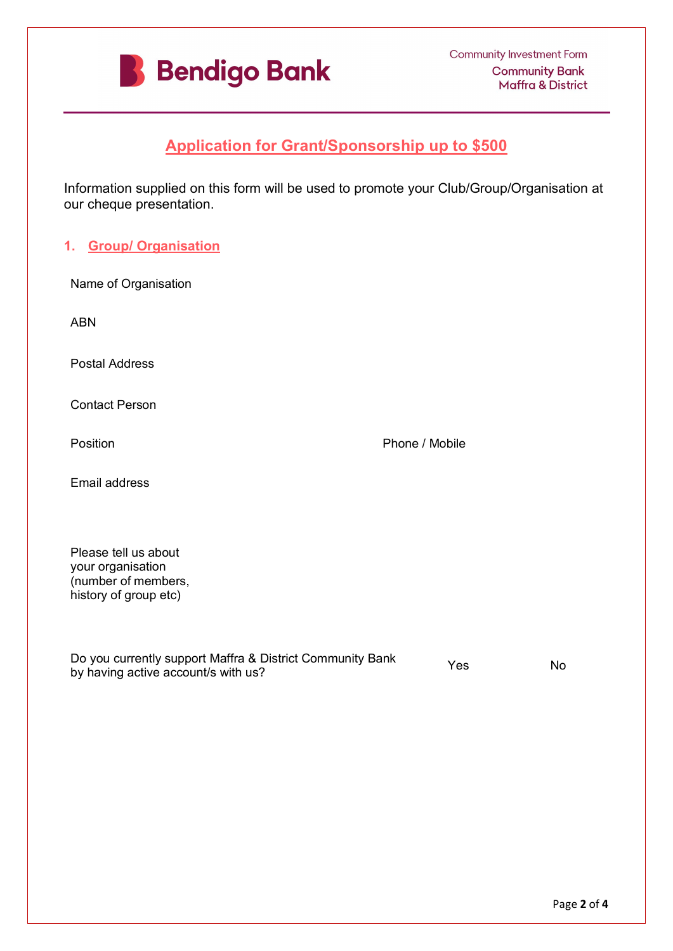

### **Application for Grant/Sponsorship up to \$500**

Information supplied on this form will be used to promote your Club/Group/Organisation at our cheque presentation.

### **1. Group/ Organisation**

| Name of Organisation                                                                             |  |                |           |
|--------------------------------------------------------------------------------------------------|--|----------------|-----------|
| <b>ABN</b>                                                                                       |  |                |           |
| <b>Postal Address</b>                                                                            |  |                |           |
| <b>Contact Person</b>                                                                            |  |                |           |
| Position                                                                                         |  | Phone / Mobile |           |
| <b>Email address</b>                                                                             |  |                |           |
| Please tell us about<br>your organisation<br>(number of members,<br>history of group etc)        |  |                |           |
| Do you currently support Maffra & District Community Bank<br>by having active account/s with us? |  | Yes            | <b>No</b> |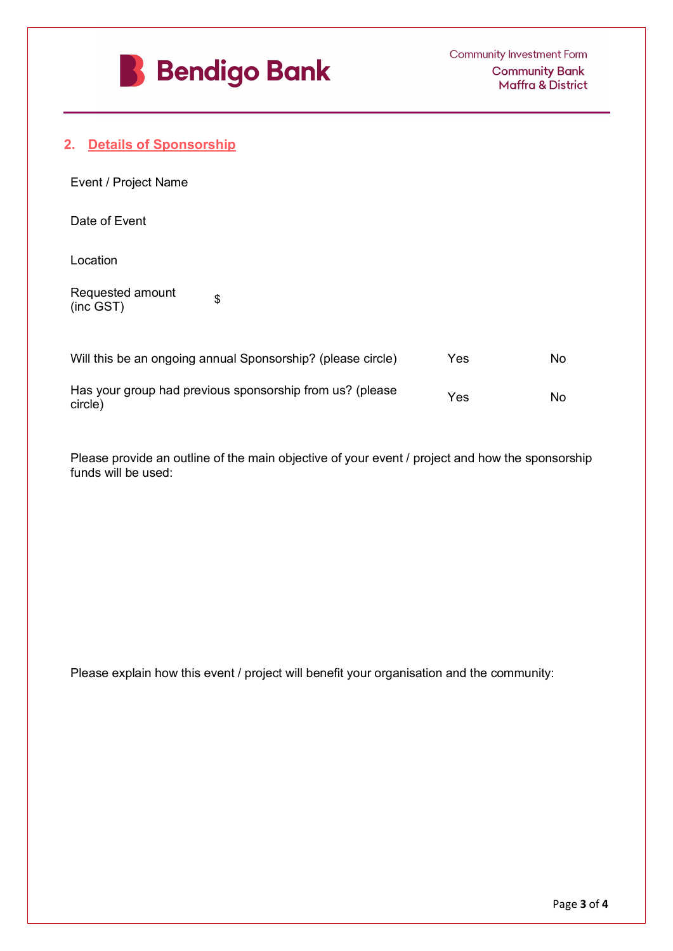

### **2. Details of Sponsorship**

| Event / Project Name          |  |
|-------------------------------|--|
| Date of Event                 |  |
| Location                      |  |
| Requested amount<br>(inc GST) |  |

| Will this be an ongoing annual Sponsorship? (please circle)         | Yes | N٥ |
|---------------------------------------------------------------------|-----|----|
| Has your group had previous sponsorship from us? (please<br>circle) | Yes | N٥ |

Please provide an outline of the main objective of your event / project and how the sponsorship funds will be used:

Please explain how this event / project will benefit your organisation and the community: